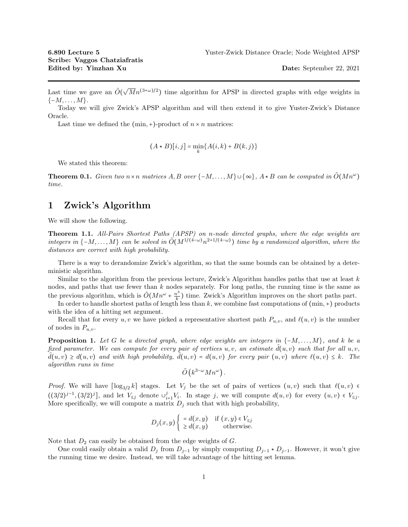Last time we gave an  $\tilde{O}(\sqrt{M}n^{(3+\omega)/2})$  time algorithm for APSP in directed graphs with edge weights in  $\{-M,\ldots,M\}.$ 

Today we will give Zwick's APSP algorithm and will then extend it to give Yuster-Zwick's Distance Oracle.

Last time we defined the  $(\min, +)$ -product of  $n \times n$  matrices:

$$
(A \star B)[i, j] = \min_{k} \{A(i, k) + B(k, j)\}
$$

We stated this theorem:

**Theorem 0.1.** Given two  $n \times n$  matrices  $A, B$  over  $\{-M, \ldots, M\} \cup \{\infty\}$ ,  $A \star B$  can be computed in  $\tilde{O}(Mn^{\omega})$ time.

## 1 Zwick's Algorithm

We will show the following.

Theorem 1.1. All-Pairs Shortest Paths (APSP) on n-node directed graphs, where the edge weights are integers in  $\{-M,\ldots,M\}$  can be solved in  $O(M^{1/(4-\omega)}n^{2+1/(4-\omega)})$  time by a randomized algorithm, where the distances are correct with high probability.

There is a way to derandomize Zwick's algorithm, so that the same bounds can be obtained by a deterministic algorithm.

Similar to the algorithm from the previous lecture, Zwick's Algorithm handles paths that use at least  $k$ nodes, and paths that use fewer than  $k$  nodes separately. For long paths, the running time is the same as the previous algorithm, which is  $\tilde{O}(Mn^{\omega} + \frac{n^3}{k})$  $\frac{k^2}{k}$ ) time. Zwick's Algorithm improves on the short paths part.

In order to handle shortest paths of length less than  $k$ , we combine fast computations of  $(\min, +)$  products with the idea of a hitting set argument.

Recall that for every  $u, v$  we have picked a representative shortest path  $P_{u,v}$ , and  $\ell(u, v)$  is the number of nodes in  $P_{u,v}$ .

**Proposition 1.** Let G be a directed graph, where edge weights are integers in  $\{-M, \ldots, M\}$ , and k be a fixed parameter. We can compute for every pair of vertices  $u, v$ , an estimate  $d(u, v)$  such that for all  $u, v$ ,  $d(u, v) \geq d(u, v)$  and with high probability,  $d(u, v) = d(u, v)$  for every pair  $(u, v)$  where  $\ell(u, v) \leq k$ . The algorithm runs in time

$$
\tilde{O}(k^{3-\omega}Mn^{\omega}).
$$

*Proof.* We will have  $\lceil \log_{3/2} k \rceil$  stages. Let  $V_j$  be the set of pairs of vertices  $(u, v)$  such that  $\ell(u, v) \in$  $((3/2)^{j-1}, (3/2)^j]$ , and let  $V_{\leq j}$  denote  $\cup_{i=1}^j V_i$ . In stage j, we will compute  $d(u, v)$  for every  $(u, v) \in V_{\leq j}$ . More specifically, we will compute a matrix  $D_i$  such that with high probability,

$$
D_j(x, y) \begin{cases} = d(x, y) & \text{if } (x, y) \in V_{\le j} \\ \ge d(x, y) & \text{otherwise.} \end{cases}
$$

Note that  $D_2$  can easily be obtained from the edge weights of  $G$ .

One could easily obtain a valid  $D_j$  from  $D_{j-1}$  by simply computing  $D_{j-1} \star D_{j-1}$ . However, it won't give the running time we desire. Instead, we will take advantage of the hitting set lemma.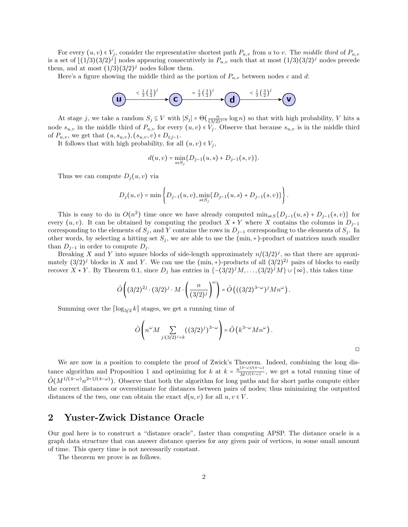For every  $(u, v) \in V_i$ , consider the representative shortest path  $P_{u,v}$  from u to v. The middle third of  $P_{u,v}$ is a set of  $\lfloor (1/3)(3/2)^j \rfloor$  nodes appearing consecutively in  $P_{u,v}$  such that at most  $(1/3)(3/2)^j$  nodes precede them, and at most  $(1/3)(3/2)^j$  nodes follow them.

Here's a figure showing the middle third as the portion of  $P_{u,v}$  between nodes c and d:

$$
\bigodot \xrightarrow{\leftarrow} \frac{1}{3} \left(\frac{3}{2}\right)^j \longrightarrow \bigodot \xrightarrow{\leftarrow} \frac{1}{3} \left(\frac{3}{2}\right)^j \longrightarrow \bigodot \xrightarrow{\leftarrow} \frac{1}{3} \left(\frac{3}{2}\right)^j \longrightarrow \bigodot
$$

At stage j, we take a random  $S_j \subseteq V$  with  $|S_j| = \Theta(\frac{n}{(3/2)^{j-1}} \log n)$  so that with high probability, V hits a node  $s_{u,v}$  in the middle third of  $P_{u,v}$  for every  $(u,v) \in V_j$ . Observe that because  $s_{u,v}$  is in the middle third of  $P_{u,v}$ , we get that  $(u, s_{u,v}), (s_{u,v}, v) \in D_{\leq j-1}$ .

It follows that with high probability, for all  $(u, v) \in V_i$ ,

$$
d(u, v) = \min_{s \in S_j} \{D_{j-1}(u, s) + D_{j-1}(s, v)\}.
$$

Thus we can compute  $D_i(u, v)$  via

$$
D_j(u,v) = \min \left\{ D_{j-1}(u,v), \min_{s \in S_j} \{ D_{j-1}(u,s) + D_{j-1}(s,v) \} \right\}.
$$

This is easy to do in  $O(n^2)$  time once we have already computed min<sub>s∈S</sub>{ $D_{j-1}(u, s) + D_{j-1}(s, v)$ } for every  $(u, v)$ . It can be obtained by computing the product  $X \star Y$  where X contains the columns in  $D_{j-1}$ corresponding to the elements of  $S_j$ , and Y contains the rows in  $D_{j-1}$  corresponding to the elements of  $S_j$ . In other words, by selecting a hitting set  $S_j$ , we are able to use the (min, +)-product of matrices much smaller than  $D_{i-1}$  in order to compute  $D_i$ .

Breaking X and Y into square blocks of side-length approximately  $n/(3/2)^j$ , so that there are approximately  $(3/2)^j$  blocks in X and Y. We can use the (min, +)-products of all  $(3/2)^{2j}$  pairs of blocks to easily recover  $X \star Y$ . By Theorem 0.1, since  $D_j$  has entries in  $\{-(3/2)^j M, \ldots, (3/2)^j M\} \cup \{\infty\}$ , this takes time

$$
\tilde{O}\left((3/2)^{2j}\cdot (3/2)^j\cdot M\cdot\left(\frac{n}{(3/2)^j}\right)^{\omega}\right)=\tilde{O}\left(((3/2)^{3-\omega})^jMn^{\omega}\right).
$$

Summing over the  $\lceil \log_{3/2} k \rceil$  stages, we get a running time of

$$
\tilde{O}\left(n^{\omega}M\sum_{j:(3/2)^j
$$

◻

We are now in a position to complete the proof of Zwick's Theorem. Indeed, combining the long distance algorithm and Proposition 1 and optimizing for k at  $k = \frac{n^{(3-\omega)/(4-\omega)}}{M^{1/(4-\omega)}}$  $\frac{\partial}{\partial M^{1/(4-\omega)}}$ , we get a total running time of  $\tilde{O}(M^{1/(4-\omega)}n^{2+1/(4-\omega)})$ . Observe that both the algorithm for long paths and for short paths compute either the correct distances or overestimate for distances between pairs of nodes; thus minimizing the outputted distances of the two, one can obtain the exact  $d(u, v)$  for all  $u, v \in V$ .

## 2 Yuster-Zwick Distance Oracle

Our goal here is to construct a "distance oracle", faster than computing APSP. The distance oracle is a graph data structure that can answer distance queries for any given pair of vertices, in some small amount of time. This query time is not necessarily constant.

The theorem we prove is as follows.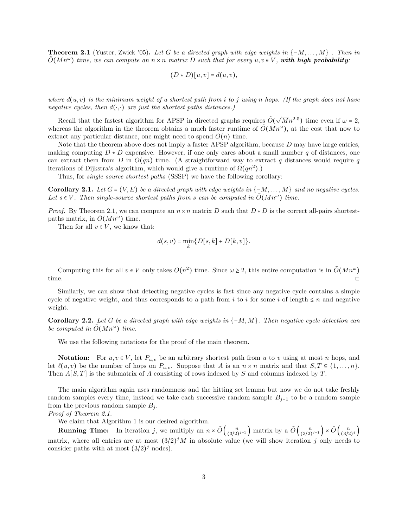**Theorem 2.1** (Yuster, Zwick '05). Let G be a directed graph with edge weights in  $\{-M, \ldots, M\}$ . Then in  $\tilde{O}(Mn^{\omega})$  time, we can compute an  $n \times n$  matrix D such that for every  $u, v \in V$ , with high probability:

$$
(D * D)[u, v] = d(u, v),
$$

where  $d(u, v)$  is the minimum weight of a shortest path from i to j using n hops. (If the graph does not have negative cycles, then  $d(\cdot, \cdot)$  are just the shortest paths distances.)

Recall that the fastest algorithm for APSP in directed graphs requires  $\tilde{O}(\sqrt{M}n^{2.5})$  time even if  $\omega = 2$ , whereas the algorithm in the theorem obtains a much faster runtime of  $\tilde{O}(Mn^{\omega})$ , at the cost that now to extract any particular distance, one might need to spend  $O(n)$  time.

Note that the theorem above does not imply a faster APSP algorithm, because  $D$  may have large entries, making computing  $D \star D$  expensive. However, if one only cares about a small number q of distances, one can extract them from D in  $O(qn)$  time. (A straightforward way to extract q distances would require q iterations of Dijkstra's algorithm, which would give a runtime of  $\Omega(qn^2)$ .)

Thus, for single source shortest paths (SSSP) we have the following corollary:

Corollary 2.1. Let  $G = (V, E)$  be a directed graph with edge weights in  $\{-M, \ldots, M\}$  and no negative cycles. Let  $s \in V$ . Then single-source shortest paths from s can be computed in  $O(Mn^{\omega})$  time.

*Proof.* By Theorem 2.1, we can compute an  $n \times n$  matrix D such that  $D \star D$  is the correct all-pairs shortestpaths matrix, in  $\tilde{O}(Mn^{\omega})$  time.

Then for all  $v \in V$ , we know that:

$$
d(s,v)=\min_k\{D[s,k]+D[k,v]\}.
$$

Computing this for all  $v \in V$  only takes  $O(n^2)$  time. Since  $\omega \geq 2$ , this entire computation is in  $\tilde{O}(Mn^{\omega})$ time.  $\Box$ 

Similarly, we can show that detecting negative cycles is fast since any negative cycle contains a simple cycle of negative weight, and thus corresponds to a path from i to i for some i of length  $\leq n$  and negative weight.

**Corollary 2.2.** Let G be a directed graph with edge weights in  $\{-M, M\}$ . Then negative cycle detection can be computed in  $\tilde{O}(M n^{\omega})$  time.

We use the following notations for the proof of the main theorem.

**Notation:** For  $u, v \in V$ , let  $P_{u,v}$  be an arbitrary shortest path from u to v using at most n hops, and let  $\ell(u, v)$  be the number of hops on  $P_{u,v}$ . Suppose that A is an  $n \times n$  matrix and that  $S, T \subseteq \{1, \ldots, n\}$ . Then  $A[S,T]$  is the submatrix of A consisting of rows indexed by S and columns indexed by T.

The main algorithm again uses randomness and the hitting set lemma but now we do not take freshly random samples every time, instead we take each successive random sample  $B_{j+1}$  to be a random sample from the previous random sample  $B_i$ .

Proof of Theorem 2.1.

We claim that Algorithm 1 is our desired algorithm.

**Running Time:** In iteration j, we multiply an  $n \times \tilde{O}\left(\frac{n}{(3/2)^{j-1}}\right)$  matrix by a  $\tilde{O}\left(\frac{n}{(3/2)^{j-1}}\right) \times \tilde{O}\left(\frac{n}{(3/2)^j}\right)$ matrix, where all entries are at most  $(3/2)^{j}M$  in absolute value (we will show iteration j only needs to consider paths with at most  $(3/2)^j$  nodes).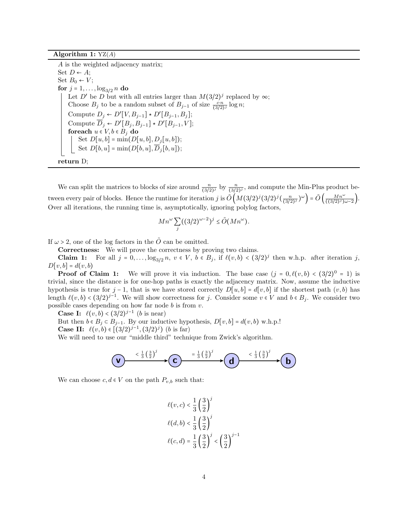Algorithm 1:  $YZ(A)$ 

A is the weighted adjacency matrix; Set  $D \leftarrow A$ ; Set  $B_0 \leftarrow V$ ; for  $j = 1, ..., \log_{3/2} n$  do Let D' be D but with all entries larger than  $M(3/2)^j$  replaced by  $\infty$ ; Choose  $B_j$  to be a random subset of  $B_{j-1}$  of size  $\frac{c \cdot n}{(3/2)^j} \log n$ ; Compute  $D_j \leftarrow D'[V, B_{j-1}] \star D'[B_{j-1}, B_j];$ Compute  $\overline{D}_j \leftarrow D'[B_j, B_{j-1}] \star D'[B_{j-1}, V];$ foreach  $u \in V, b \in B_j$  do Set  $D[u, b] = min(D[u, b], D<sub>j</sub>[u, b])$ ; Set  $D[b, u] = min(D[b, u], D_j[b, u])$ ; return D;

We can split the matrices to blocks of size around  $\frac{n}{(3/2)^j}$  by  $\frac{n}{(3/2)^j}$ , and compute the Min-Plus product between every pair of blocks. Hence the runtime for iteration j is  $\tilde{O}\left(M(3/2)^j(3/2)^j(\frac{n}{(3/2)^j})^{\omega}\right) = \tilde{O}\left(\frac{Mn^{\omega}}{(3/2)^j(\omega-2)}\right)$ . Over all iterations, the running time is, asymptotically, ignoring polylog factors,

$$
Mn^{\omega} \sum_{j} ((3/2)^{\omega - 2})^j \le \tilde{O}(Mn^{\omega}).
$$

If  $\omega > 2$ , one of the log factors in the O can be omitted.

Correctness: We will prove the correctness by proving two claims.

**Claim 1:** For all  $j = 0, \ldots, \log_{3/2} n, v \in V$ ,  $b \in B_j$ , if  $\ell(v, b) < (3/2)^j$  then w.h.p. after iteration j,  $D[v, b] = d(v, b)$ 

**Proof of Claim 1:** We will prove it via induction. The base case  $(j = 0, \ell(v, b) < (3/2)^0 = 1)$  is trivial, since the distance is for one-hop paths is exactly the adjacency matrix. Now, assume the inductive hypothesis is true for j – 1, that is we have stored correctly  $D[u, b] = d[v, b]$  if the shortest path  $(v, b)$  has length  $\ell(v, b) < (3/2)^{j-1}$ . We will show correctness for j. Consider some  $v \in V$  and  $b \in B_j$ . We consider two possible cases depending on how far node  $b$  is from  $v.$ 

**Case I:**  $\ell(v, b) < (3/2)^{j-1}$  (*b* is near)

But then  $b \in B_j \subset B_{j-1}$ . By our inductive hypothesis,  $D[v, b] = d(v, b) \text{ w.h.p.}!$ **Case II:**  $\ell(v, b) \in [(3/2)^{j-1}, (3/2)^{j})$  (*b* is far)

We will need to use our "middle third" technique from Zwick's algorithm.

$$
\bigodot \xrightarrow{\left(\frac{1}{3}\left(\frac{3}{2}\right)^j\right)} \bigodot \xrightarrow{\left(\frac{1}{3}\left(\frac{3}{2}\right)^j\right)} \bigodot \xrightarrow{\left(\frac{1}{3}\left(\frac{3}{2}\right)^j\right)} \bigodot
$$

We can choose  $c, d \in V$  on the path  $P_{v,b}$  such that:

$$
\ell(v, c) < \frac{1}{3} \left(\frac{3}{2}\right)^j \\
\ell(d, b) < \frac{1}{3} \left(\frac{3}{2}\right)^j \\
\ell(c, d) = \frac{1}{3} \left(\frac{3}{2}\right)^j < \left(\frac{3}{2}\right)^{j-1}
$$